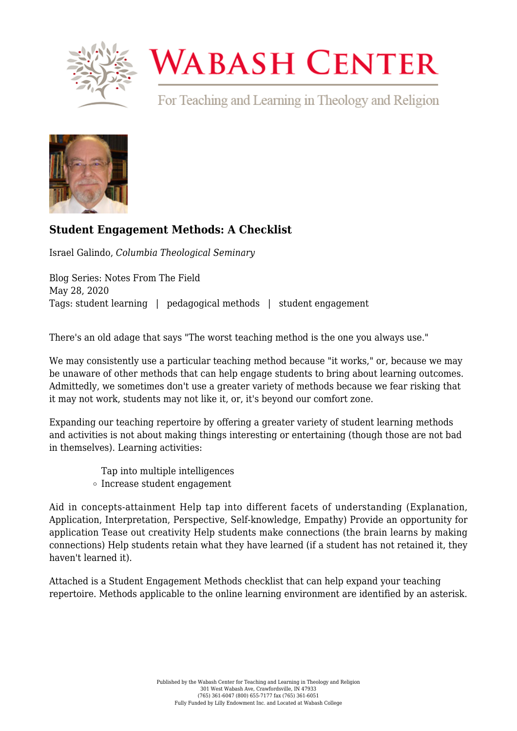

## **WABASH CENTER**

For Teaching and Learning in Theology and Religion



## **[Student Engagement Methods: A Checklist](https://www.wabashcenter.wabash.edu/2020/05/student-engagement-methods-a-checklist/)**

Israel Galindo, *Columbia Theological Seminary*

Blog Series: Notes From The Field May 28, 2020 Tags: student learning | pedagogical methods | student engagement

There's an old adage that says "The worst teaching method is the one you always use."

We may consistently use a particular teaching method because "it works," or, because we may be unaware of other methods that can help engage students to bring about learning outcomes. Admittedly, we sometimes don't use a greater variety of methods because we fear risking that it may not work, students may not like it, or, it's beyond our comfort zone.

Expanding our teaching repertoire by offering a greater variety of student learning methods and activities is not about making things interesting or entertaining (though those are not bad in themselves). Learning activities:

> Tap into multiple intelligences Increase student engagement

Aid in concepts-attainment Help tap into different facets of understanding (Explanation, Application, Interpretation, Perspective, Self-knowledge, Empathy) Provide an opportunity for application Tease out creativity Help students make connections (the brain learns by making connections) Help students retain what they have learned (if a student has not retained it, they haven't learned it).

Attached is a [Student Engagement Methods checklist](https://www.wabashcenter.wabash.edu/wp-content/uploads/2020/05/Learner-Engagement-Methods-2020.pdf) that can help expand your teaching repertoire. Methods applicable to the online learning environment are identified by an asterisk.